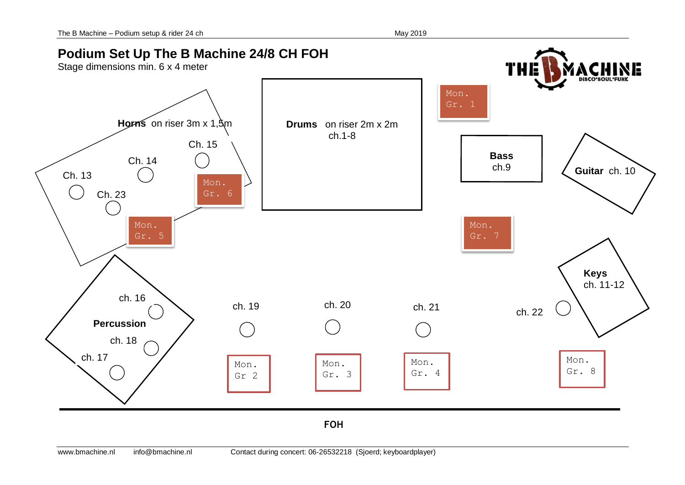